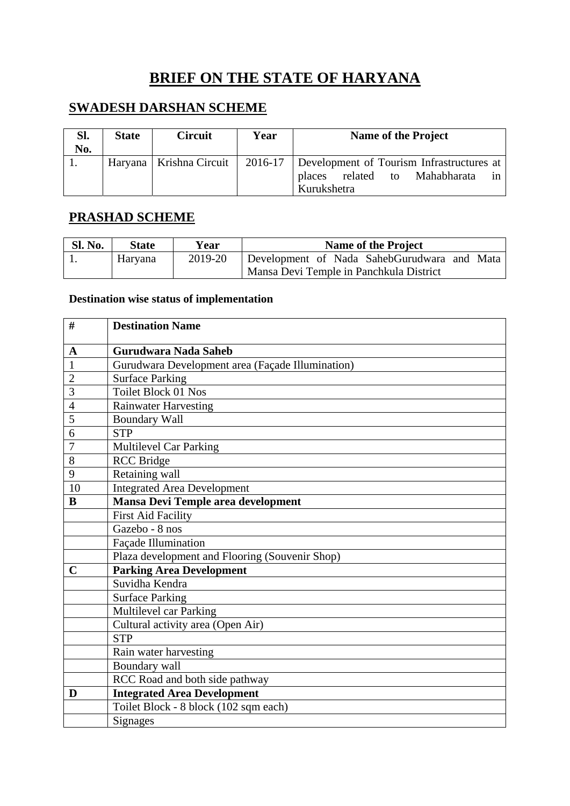# **BRIEF ON THE STATE OF HARYANA**

## **SWADESH DARSHAN SCHEME**

| Sl.<br>No. | <b>State</b> | <b>Circuit</b>            | Year | <b>Name of the Project</b>                                                                              |
|------------|--------------|---------------------------|------|---------------------------------------------------------------------------------------------------------|
|            |              | Haryana   Krishna Circuit |      | 2016-17 Development of Tourism Infrastructures at<br>places related to Mahabharata<br>1n<br>Kurukshetra |

## **PRASHAD SCHEME**

| <b>Sl. No.</b> | <b>State</b> | Year    | Name of the Project                         |  |  |  |
|----------------|--------------|---------|---------------------------------------------|--|--|--|
|                | Haryana      | 2019-20 | Development of Nada SahebGurudwara and Mata |  |  |  |
|                |              |         | Mansa Devi Temple in Panchkula District     |  |  |  |

#### **Destination wise status of implementation**

| #              | <b>Destination Name</b>                          |  |  |  |
|----------------|--------------------------------------------------|--|--|--|
| A              | Gurudwara Nada Saheb                             |  |  |  |
|                | Gurudwara Development area (Façade Illumination) |  |  |  |
| $\overline{2}$ | <b>Surface Parking</b>                           |  |  |  |
| 3              | <b>Toilet Block 01 Nos</b>                       |  |  |  |
| $\overline{4}$ | <b>Rainwater Harvesting</b>                      |  |  |  |
| 5              | <b>Boundary Wall</b>                             |  |  |  |
| 6              | <b>STP</b>                                       |  |  |  |
| 7              | <b>Multilevel Car Parking</b>                    |  |  |  |
| 8              | <b>RCC</b> Bridge                                |  |  |  |
| 9              | Retaining wall                                   |  |  |  |
| 10             | <b>Integrated Area Development</b>               |  |  |  |
| B              | Mansa Devi Temple area development               |  |  |  |
|                | <b>First Aid Facility</b>                        |  |  |  |
|                | Gazebo - 8 nos                                   |  |  |  |
|                | Façade Illumination                              |  |  |  |
|                | Plaza development and Flooring (Souvenir Shop)   |  |  |  |
| $\mathbf C$    | <b>Parking Area Development</b>                  |  |  |  |
|                | Suvidha Kendra                                   |  |  |  |
|                | <b>Surface Parking</b>                           |  |  |  |
|                | Multilevel car Parking                           |  |  |  |
|                | Cultural activity area (Open Air)                |  |  |  |
|                | <b>STP</b>                                       |  |  |  |
|                | Rain water harvesting                            |  |  |  |
|                | Boundary wall                                    |  |  |  |
|                | RCC Road and both side pathway                   |  |  |  |
| D              | <b>Integrated Area Development</b>               |  |  |  |
|                | Toilet Block - 8 block (102 sqm each)            |  |  |  |
|                | <b>Signages</b>                                  |  |  |  |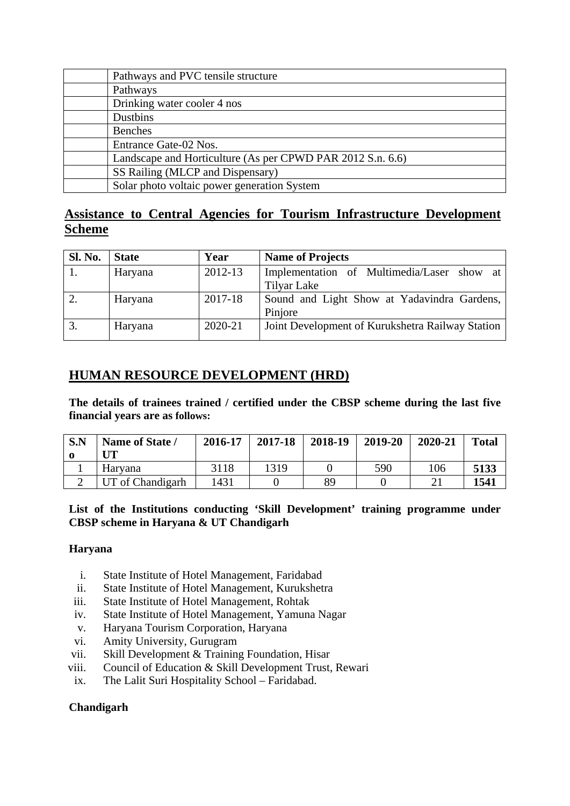| Pathways and PVC tensile structure                         |
|------------------------------------------------------------|
| Pathways                                                   |
| Drinking water cooler 4 nos                                |
| Dustbins                                                   |
| <b>Benches</b>                                             |
| Entrance Gate-02 Nos.                                      |
| Landscape and Horticulture (As per CPWD PAR 2012 S.n. 6.6) |
| SS Railing (MLCP and Dispensary)                           |
| Solar photo voltaic power generation System                |

### **Assistance to Central Agencies for Tourism Infrastructure Development Scheme**

| <b>Sl. No.</b> | <b>State</b> | Year    | <b>Name of Projects</b>                          |
|----------------|--------------|---------|--------------------------------------------------|
|                | Haryana      | 2012-13 | Implementation of Multimedia/Laser show at       |
|                |              |         | Tilyar Lake                                      |
| 2.             | Haryana      | 2017-18 | Sound and Light Show at Yadavindra Gardens,      |
|                |              |         | Pinjore                                          |
| 3.             | Haryana      | 2020-21 | Joint Development of Kurukshetra Railway Station |

### **HUMAN RESOURCE DEVELOPMENT (HRD)**

**The details of trainees trained / certified under the CBSP scheme during the last five financial years are as follows:** 

| S.N | Name of State /  | 2016-17 | 2017-18 | 2018-19 | 2019-20 | 2020-21 | <b>Total</b> |
|-----|------------------|---------|---------|---------|---------|---------|--------------|
|     | Haryana          | 3118    | 1319    |         | 590     | 106     | 5133         |
|     | UT of Chandigarh | 1431    |         | 89      |         |         | 1541         |

#### **List of the Institutions conducting 'Skill Development' training programme under CBSP scheme in Haryana & UT Chandigarh**

#### **Haryana**

- i. State Institute of Hotel Management, Faridabad
- ii. State Institute of Hotel Management, Kurukshetra
- iii. State Institute of Hotel Management, Rohtak
- iv. State Institute of Hotel Management, Yamuna Nagar
- v. Haryana Tourism Corporation, Haryana
- vi. Amity University, Gurugram
- vii. Skill Development & Training Foundation, Hisar
- viii. Council of Education & Skill Development Trust, Rewari
- ix. The Lalit Suri Hospitality School Faridabad.

#### **Chandigarh**